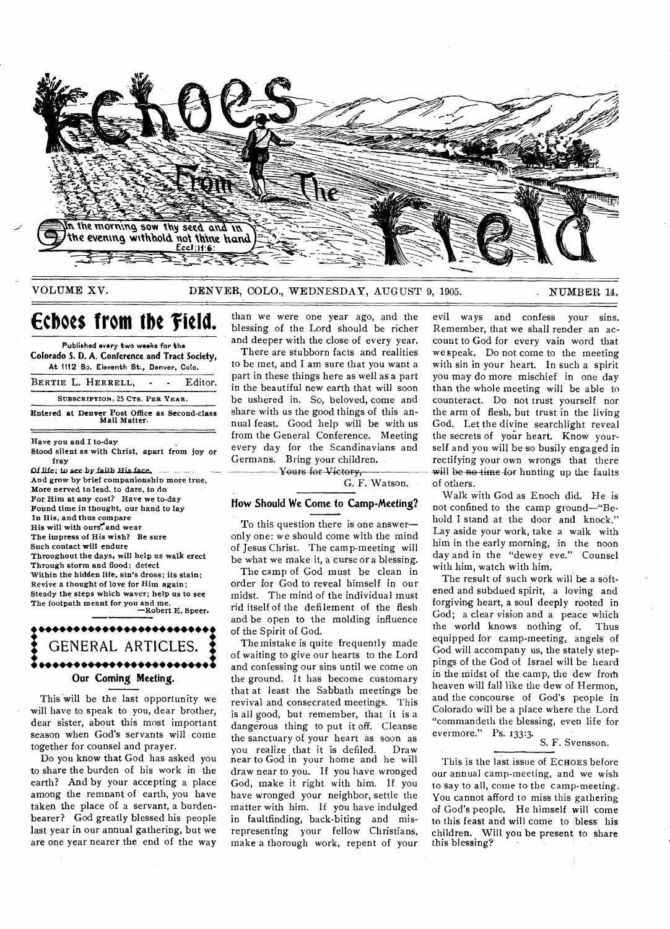

### VOLUME XV. DENVER, COLO., WEDNESDAY, AUGUST 9, 1905. NUMBER 14.

# **Echoes from the field.**

**Published every two weeks for the Colorado S. D. A. Conference and Tract Society, At 1112 So. Eleventh St., Denver, Colo.** 

**BERTIE L. HERRELL, -** Editor.

**SUBSCRIPTION** 25 **CTS. PER YEAR.** 

**Entered at Denver Post Office as Second-class Mail Matter.** 

**Have you and I to-day** 

**Stood silent as with Christ, apart from joy or fray** 

**Dille; to see bYlaith Rig fare And grow by brief companionship more true, More nerved to lead. to dare, to do For Him at any cost? Have we to-day Found time in thought, our hand to lay In His, and thus compare His will with ours** and wear **The impress of His wish? Be sure Such contact will endure Throughout the days, will help us walk erect Through storm and flood; detect Within the hidden life, sin's dross; its stain; Revive a thought of love for Him again; Steady the steps which waver; help us to see The footpath meant for you and me. —Robert E, Speer.** 

### **1 •••••• •••••• •••••• ••••••:**  GENERAL ARTICLES. **•••••• •••••• •••••• •••••• : Our Coming Meeting.**

This will be the last opportunity we will have to speak to you, dear brother, dear sister, about this most important season when God's servants will come together for counsel and prayer.

Do you know that God has asked you to share the burden of his work in the earth? And by your accepting a place among the remnant of earth, you have taken the place of a servant, a burdenbearer? God greatly blessed his people last year in our annual gathering, but we are one year nearer the end of the way

than we were one year ago, and the blessing of the Lord should be richer and deeper with the close of every year.

There are stubborn facts and realities to be met, and I am sure that you want a part in these things here as well as a part in the beautiful new earth that will soon be ushered in. So, beloved, come and share with us the good things of this annual feast. Good help will be with us from the General Conference. Meeting every day for the Scandinavians and Germans. Bring your children. Yours for Victory,

G. F. Watson.

#### **liow Should We Come to Camp-Meeting?**

To this question there is one answer only one: we should come with the mind of Jesus Christ. The camp-meeting will be what we make it, a curse or a blessing.

The camp of God must be clean in order for God to reveal himself in our midst. The mind of the individual must rid itself of the defilement of the flesh and be open to the molding influence of the Spirit of God.

The mistake is quite frequently made of waiting to give our hearts to the Lord and confessing our sins until we come on the ground. It has become customary that at least the Sabbath meetings be revival and consecrated meetings. This is all good, but remember, that it is a dangerous thing to put it off. Cleanse the sanctuary of your heart as soon as you realize that it is defiled. Draw near to God in your home and he will draw near to you. If you have wronged God, make it right with him. If you have wronged your neighbor, settle the matter with him. If you have indulged in faultfinding, back-biting and misrepresenting your fellow Christians, make a thorough work, repent of your

evil ways and confess your sins. Remember, that we shall render an account to God for every vain word that we speak. Do not come to the meeting with sin in your heart. In such a spirit you may do more mischief in one day than the whole meeting will be able to counteract. Do not trust yourself nor the arm of flesh, but trust in the living God. Let the divine searchlight reveal the secrets of your heart. Know yourself and you will be so busily engaged in rectifying your own wrongs that there will be no time-for hunting up the faults of others.

Walk with God as Enoch did. He is not confined to the camp ground—"Behold I stand at the door and knock." Lay aside your work, take a walk with him in the early morning, in the noon day and in the "dewey eve." Counsel with him, watch with him.

The result of such work will be a softened and subdued spirit, a loving and forgiving heart, a soul deeply rooted in God; a clear vision and a peace which the world knows nothing of. Thus equipped for camp-meeting, angels of God will accompany us, the stately steppings of the God of Israel will be heard in the midst of the camp, the dew from heaven will fall like the dew of Hermon, and the concourse of God's people in Colorado will be a place where the Lord "commandeth the blessing, even life for evermore." Ps. 133:3.

# S. F. Svensson.

This is the last issue of **ECHOES** before our annual camp-meeting, and we wish to say to all, come to the camp-meeting. You cannot afford to miss this gathering of God's people. He himself will come to this feast and will come to bless his children. Will you be present to share this blessing?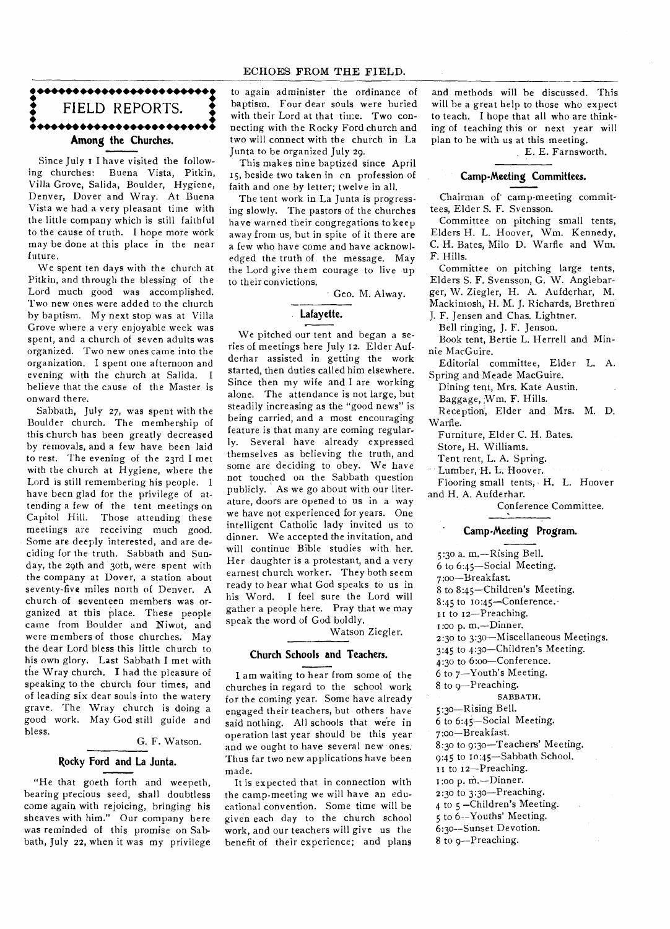# ECHOES FROM THE FIELD.

# **• ••••••••••••••••••••••••i •**  FIELD REPORTS.<br>•••••••••••••••••••••••• **Among the Churches.**

Since July i I have visited the following churches: Buena Vista, Pitkin, Villa Grove, Salida, Boulder, Hygiene, Denver, Dover and Wray. At Buena Vista we had a very pleasant time with the little company which is still faithful to the cause of truth. I hope more work may be done at this place in the near future,

We spent ten days with the church at Pitkin, and through the blessing of the Lord much good was accomplished. Two new ones were added to the cliurch by baptism. My next stop was at Villa Grove where a very enjoyable week was spent, and a church of seven adults was organized. Two new ones came into the organization. I spent one afternoon and evening with the church at Salida. I believe that the cause of the Master is onward there.

Sabbath, July 27, was spent with the Boulder church. The membership of this church has been greatly decreased by removals, and a few have been laid to rest. The evening of the 23rd I met with the church at Hygiene, where the Lord is still remembering his people. I have been glad for the privilege of attending a few of the tent meetings on Capitol Hill. Those attending these meetings are receiving much good. Some are deeply interested, and are deciding for the truth. Sabbath and Sunday, the 29th and 30th, were spent with the company at Dover, a station about seventy-five miles north of Denver. A church of seventeen members was organized at this place. These people came from Boulder and Niwot, and were members of those churches. May the dear Lord bless this little church to his own glory. Last Sabbath I met with the Wray church. I had the pleasure of speaking to the church four times, and of leading six dear souls into the watery grave. The Wray church is doing a good work. May God still guide and bless.

G. F. Watson.

#### **Rocky Ford and La Junta.**

"He that goeth forth and weepeth, bearing precious seed, shall doubtless come again with rejoicing, bringing his sheaves with him." Our company here was reminded of this promise on Sabbath, July 22, when it was my privilege to again administer the ordinance of baptism. Four dear souls were buried with their Lord at that time. Two connecting with the Rocky Ford church and two will connect with the church in La Junta to be organized July 29.

This makes nine baptized since April 15, beside two taken in on profession of faith and one by letter; twelve in all.

The tent work in La Junta is progressing slowly. The pastors of the churches have warned their congregations to keep away from us, but in spite of it there are a few who have come and have acknowledged the truth of the message. May the Lord give them courage to live up to their convictions.

Geo. M. Alway.

# **Lafayette.**

We pitched our tent and began a series of meetings here July 12. Elder Aufderhar assisted in getting the work started, then duties called him elsewhere. Since then my wife and I are working alone. The attendance is not large, but steadily increasing as the "good news" is being carried, and a most encouraging feature is that many are coming regularly. Several have already expressed themselves as believing the truth, and some are deciding to obey. We have not touched on the Sabbath question publicly. As we go about with our literature, doors are opened to us in a way we have not experienced for years. One intelligent Catholic lady invited us to dinner. We accepted the invitation, and will continue Bible studies with her. Her daughter is a protestant, and a very earnest church worker. They both seem ready to hear what God speaks to us in his Word. I feel sure the Lord will gather a people here. Pray that we may speak the word of God boldly.

Watson Ziegler.

#### **Church Schools and Teachers.**

I am waiting to hear from some of the churches in regard to the school work for the coming year. Some have already engaged their teachers, but others have said nothing. All schools that were in operation last year should be this year and we ought to have several new ones. Thus far two new applications have been made.

It is expected that in connection with the camp-meeting we will have an educational convention. Some time will be given each day to the church school work, and our teachers will give us the benefit of their experience; and plans

and methods will he discussed. This will be a great help to those who expect to teach. I hope that all who are thinking of teaching this or next year will plan to be with us at this meeting.

. E. E. Farnsworth.

#### **Camp-Meeting Committees.**

Chairman of camp-meeting committees, Elder S. F. Svensson.

Committee on pitching small tents, Elders H. L. Hoover, Wm. Kennedy, C. H. Bates, Milo D. Warfle and Wm. F. Hills.

Committee on pitching large tents, Elders S. F. Svensson, G. W. Anglebarger, W. Ziegler, H. A. Aufderhar, M. Mackintosh, H. M. J. Richards, Brethren

J. F. Jensen and Chas. Lightner.

Bell ringing, J. F. Jenson.

Book tent, Bertie L. Herrell and Minnie MacGuire.

Editorial committee, Elder L. A. Spring and Meade MacGuire.

Dining tent, Mrs. Kate Austin. Baggage, Wm. F. Hills.

Reception, Elder and Mrs. M. D. Warfle.

Furniture, Elder C. H. Bates.

Store, H. Williams.

Tent rent, L. A. Spring.

Lumber, H. L. Hoover.

Flooring small tents, H. L. Hoover and H. A. Aufderhar.

Conference Committee.

### **• Camp-Meeting Program.**

5:3o a. m.—Rising Bell. 6 to 6:45—Social Meeting. 7:oo—Breakfast. 8 to 8:45—Children's Meeting. 8:45 to 10:45—Conference. 11 to 12—Preaching. 1:00 p. m.—Dinner. 2:30 to 3:3o—Miscellaneous Meetings. 3:45 to 4:30—Children's Meeting. 4:3o to 6:oo—Conference. 6 to 7—Youth's Meeting. 8 to 9—Preaching. SABBATH. 5:3o—Rising Bell. 6 to 6:45—Social Meeting. 7:oo—Breakfast. 8:30 to 9:30—Teachers' Meeting. 9:45 to 1o:45—Sabbath School. 11 to 12-Preaching. 1:0o p. M.—Dinner. 2:30 to 3:30—Preaching. 4 to 5 —Children's Meeting. 5 to 6--Youths' Meeting. 6:30--Sunset Devotion. 8 to 9--Preaching.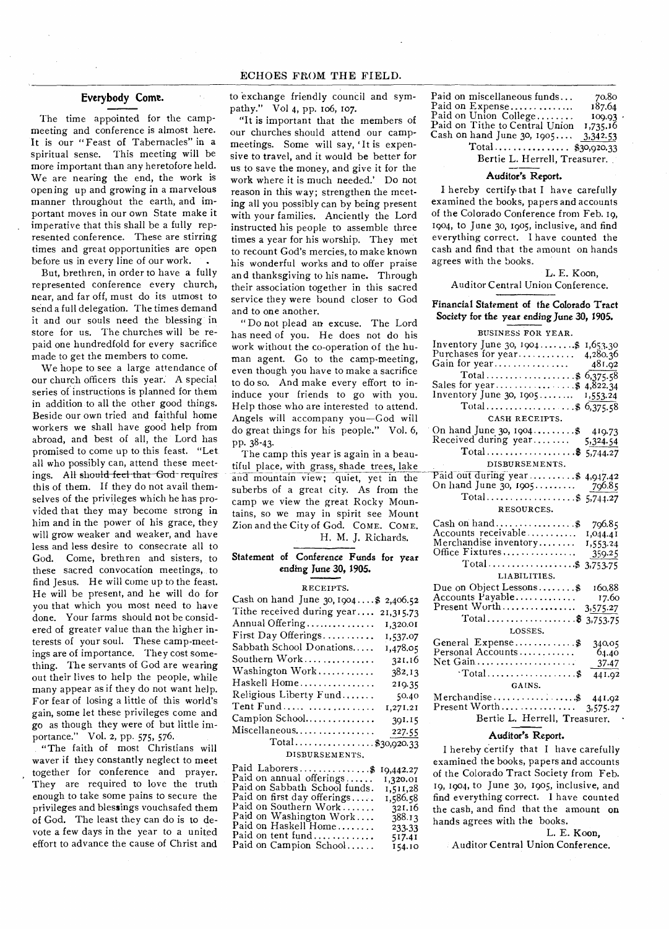## **Everybody Come.**

The time appointed for the campmeeting and conference is almost here. It is our "Feast of Tabernacles" in a spiritual sense. This meeting will be more important than any heretofore held. We are nearing the end, the work is opening up and growing in a marvelous manner throughout the earth, and important moves in our own State make it imperative that this shall be a fully represented conference. These are stirring times and great opportunities are open before us in every line of our work.

But, brethren, in order to have a fully represented conference every church, near, and far off, must do its utmost to send a full delegation. The times demand it and our souls need the blessing in store for us. The churches will be repaid one hundredfold for every sacrifice made to get the members to come.

We hope to see a large attendance of our church officers this year. A special series of instructions is planned for them in addition to all the other good things. Beside our own tried and faithful home workers we shall have good help from abroad, and best of all, the Lord has promised to come up to this feast. "Let all who possibly can, attend these meetings. All should feel that God-requires this of them. If they do not avail themselves of the privileges which he has provided that they may become strong in him and in the power of his grace, they will grow weaker and weaker, and have less and less desire to consecrate all to God. Come, brethren and sisters, to these sacred convocation meetings, to find Jesus. He will come up to the feast. He will be present, and he will do for you that which you most need to have done. Your farms should not be considered of greater value than the higher interests of your soul. These camp-meetings are of importance. They cost something. The servants of God are wearing out their lives to help the people, while many appear as if they do not want help. For fear of losing a little of this world's gain, some let these privileges come and go as though they were of but little importance." Vol. 2, pp. 575, 576.

"The faith of most Christians will waver if they constantly neglect to meet together for conference and prayer. They are required to love the truth enough to take some pains to secure the privileges and blessings vouchsafed them of God. The least they can do is to devote a few days in the year to a united effort to advance the cause of Christ and

to exchange friendly council and sympathy." Vol 4, pp. 106, 107.

"It is important that the members of our churches should attend our campmeetings. Some will say, 'It is expensive to travel, and it would be better for us to save the money, and give it for the work where it is much needed.' Do not reason in this way; strengthen the meeting all you possibly can by being present with your families. Anciently the Lord instructed his people to assemble three times a year for his worship. They met to recount God's mercies, to make known his wonderful works and to offer praise and thanksgiving to his name. Through their association together in this sacred service they were bound closer to God and to one another.

" Do not plead an excuse. The Lord has need of you. He does not do his work without the co-operation of the human agent. Go to the camp-meeting, even though you have to make a sacrifice to do so. And make every effort to ininduce your friends to go with you. Help those who are interested to attend. Angels will accompany you—God will do great things for his people." Vol. 6, pp. 38-43.

The camp this year is again in a beautiful place, with grass, shade trees, lake and mountain view; quiet, yet in the suberbs of a great city. As from the camp we view the great Rocky Mountains, so we may in spirit see Mount Zion and the City of God. COME. COME. H. M. J. Richards.

# **Statement of Conference Funds for year ending June 30, 1905.**

#### RECEIPTS.

| Cash on hand June 30, 1904\$ 2,406.52 |
|---------------------------------------|
| Tithe received during year 21,315.73  |
| Annual Offering<br>1,320.01           |
| First Day Offerings<br>1,537.07       |
| Sabbath School Donations<br>1,478.05  |
| Southern Work<br>321.16               |
| Washington Work<br>382.13             |
| Haskell Home<br>219.35                |
| Religious Liberty Fund<br>50.40       |
| Tent Fund<br>1,271.21                 |
| Campion School<br>391.15              |
| Miscellaneous<br>227.55               |
| Total\$30,920.33                      |

DISBURSEMENTS.

| Paid Laborers\$ 19,442.27     |          |
|-------------------------------|----------|
| Paid on annual offerings      | 1,320.01 |
| Paid on Sabbath School funds. | 1,511,28 |
| Paid on first day offerings   | 1,586.58 |
| Paid on Southern Work         | 321.16   |
| Paid on Washington Work       | 388.13   |
| Paid on Haskell Home          | 233.33   |
| Paid on tent fund             | 517.41   |
| Paid on Campion School        | 154.10   |
|                               |          |

| Paid on miscellaneous funds    | 70.80    |
|--------------------------------|----------|
| Paid on Expense                | 187.64   |
| Paid on Union College          | 100.03   |
| Paid on Tithe to Central Union | 1,735.16 |
| Cash on hand June 30, 1905     | 3,342.53 |
| Total      \$30,920.33         |          |
| Bertie L. Herrell, Treasurer.  |          |

# **Auditor's Report.**

I hereby certify. that I have carefully examined the books, papers and accounts of the Colorado Conference from Feb. 19, 1904, to June 3o, 1905, inclusive, and find everything correct. I have counted the cash and find that the amount on hands agrees with the books.

# **L.** E. Koon, Auditor Central Union Conference.

#### **Financial Statement of the Colorado Tract Society for the year ending June 30, 1905.**

| BUSINESS FOR YEAR.                                                                                    |
|-------------------------------------------------------------------------------------------------------|
| Inventory June 30, $1904$ \$<br>1,653.30<br>Purchases for year<br>4,280.36<br>Gain for year<br>481.92 |
| $Total \dots \dots \dots \dots \dots \$<br>6,375.58                                                   |
| 4,822.34                                                                                              |
| Inventory June 30, $1905$<br>1,553.24                                                                 |
| $Total$ \$<br>6,375.58                                                                                |
| CASH RECEIPTS.                                                                                        |
| On hand June 30, 1904 \$ 419.73<br>Received during year 5,324.54                                      |
| Total\$ 5,744.27                                                                                      |
| DISBURSEMENTS.                                                                                        |
| Paid out during year \$ 4,947.42<br>On hand June 30, 1905 796.85                                      |
| Total\$ 5,744.27                                                                                      |
| RESOURCES.                                                                                            |
| $Cash on hand$ \$<br>796.85                                                                           |
| Accounts receivable<br>1,044.41                                                                       |
| Merchandise inventory<br>1,553.24                                                                     |
| Office Fixtures<br>359.25                                                                             |
| Total\$ 3,753.75                                                                                      |
| LIABILITIES.                                                                                          |
| Due on Object Lessons $\$<br>160.88                                                                   |
| Accounts Payable<br>17.60<br>Present Worth                                                            |
| 3,575.27<br>Total\$ 3,753.75                                                                          |
| LOSSES.                                                                                               |
| General Expense \$<br>340.05                                                                          |
| Personal Accounts<br>64.40                                                                            |
| Net Gain<br>37.47                                                                                     |
| $\cdot$ Total\$<br>441.02                                                                             |
| GAINS.                                                                                                |
| Merchandise\$ 441.92                                                                                  |
|                                                                                                       |
| Bertie L. Herrell, Treasurer.                                                                         |

#### **Auditor's Report.**

I hereby certify that I have carefully examined the books, papers and accounts of the Colorado Tract Society from Feb. 19, 1904, to June 30, 1905, inclusive, and find everything correct. I have counted the cash, and find that the amount **on**  hands agrees with the books.

L. E. Koon,

Auditor Central Union Conference.